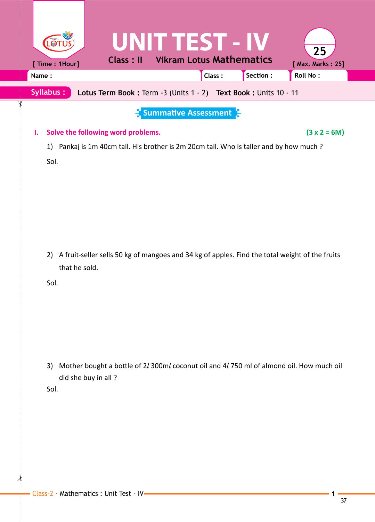| [ Time : 1Hour]<br>Name:<br><b>Syllabus:</b> | <b>Class: II</b><br>Lotus Term Book: Term -3 (Units 1 - 2) Text Book: Units 10 - 11                                        |                             | <b>UNIT TEST - IV</b><br><b>Vikram Lotus Mathematics</b><br>Class: | Section : | 25<br>[ Max. Marks: 25]<br>Roll No: |
|----------------------------------------------|----------------------------------------------------------------------------------------------------------------------------|-----------------------------|--------------------------------------------------------------------|-----------|-------------------------------------|
| Ι.<br>1)<br>Sol.                             | Solve the following word problems.<br>Pankaj is 1m 40cm tall. His brother is 2m 20cm tall. Who is taller and by how much ? | <b>Summative Assessment</b> |                                                                    |           | $(3 x 2 = 6M)$                      |
| 2)<br>that he sold.<br>Sol.                  | A fruit-seller sells 50 kg of mangoes and 34 kg of apples. Find the total weight of the fruits                             |                             |                                                                    |           |                                     |
| 3)<br>did she buy in all?<br>Sol.            | Mother bought a bottle of 2l 300ml coconut oil and 4l 750 ml of almond oil. How much oil                                   |                             |                                                                    |           |                                     |
|                                              |                                                                                                                            |                             |                                                                    |           |                                     |

 $\frac{1}{2}$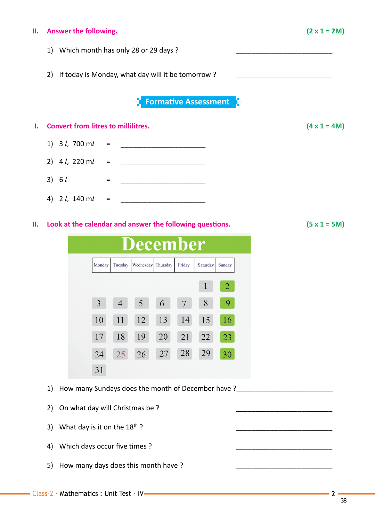## **II. Answer the following. (2 x 1 = 2M)**

- 1) Which month has only 28 or 29 days ?
- 2) If today is Monday, what day will it be tomorrow?

**Formative Assessment**



- 4) 2 *l*, 140 m*l* = \_\_\_\_\_\_\_\_\_\_\_\_\_\_\_\_\_\_\_\_\_\_
- **II. Look at the calendar and answer the following questions. (5 x 1 = 5M)**
	- ecember Thursday Friday Monday Tuesday Wednesday Sunday Saturday  $\overline{2}$ 1  $3<sup>1</sup>$  $\overline{4}$  $5<sup>1</sup>$ 8 9 6  $\overline{7}$ 12 10 11 13 14 15 16 17 18 19 20 21 22 23 24 25 26 27 28 29 30 31
	- 1) How many Sundays does the month of December have ?\_\_\_\_\_\_\_\_\_\_\_\_\_\_\_\_\_\_\_\_\_\_\_\_\_\_\_
	- 2) On what day will Christmas be ?
	- 3) What day is it on the  $18<sup>th</sup>$ ?
	- 4) Which days occur five times ?
	- 5) How many days does this month have ?